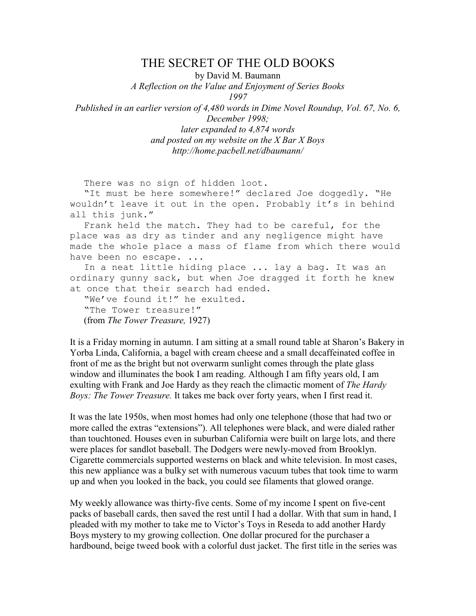## THE SECRET OF THE OLD BOOKS

by David M. Baumann

A Reflection on the Value and Enjoyment of Series Books

1997

Published in an earlier version of 4,480 words in Dime Novel Roundup, Vol. 67, No. 6, December 1998;

> later expanded to 4,874 words and posted on my website on the  $X$  Bar  $X$  Boys http://home.pacbell.net/dbaumann/

There was no sign of hidden loot.

 "It must be here somewhere!" declared Joe doggedly. "He wouldn't leave it out in the open. Probably it's in behind all this junk."

 Frank held the match. They had to be careful, for the place was as dry as tinder and any negligence might have made the whole place a mass of flame from which there would have been no escape. ...

In a neat little hiding place ... lay a bag. It was an ordinary gunny sack, but when Joe dragged it forth he knew at once that their search had ended.

 "We've found it!" he exulted. "The Tower treasure!" (from The Tower Treasure, 1927)

It is a Friday morning in autumn. I am sitting at a small round table at Sharon's Bakery in Yorba Linda, California, a bagel with cream cheese and a small decaffeinated coffee in front of me as the bright but not overwarm sunlight comes through the plate glass window and illuminates the book I am reading. Although I am fifty years old, I am exulting with Frank and Joe Hardy as they reach the climactic moment of The Hardy Boys: The Tower Treasure. It takes me back over forty years, when I first read it.

It was the late 1950s, when most homes had only one telephone (those that had two or more called the extras "extensions"). All telephones were black, and were dialed rather than touchtoned. Houses even in suburban California were built on large lots, and there were places for sandlot baseball. The Dodgers were newly-moved from Brooklyn. Cigarette commercials supported westerns on black and white television. In most cases, this new appliance was a bulky set with numerous vacuum tubes that took time to warm up and when you looked in the back, you could see filaments that glowed orange.

My weekly allowance was thirty-five cents. Some of my income I spent on five-cent packs of baseball cards, then saved the rest until I had a dollar. With that sum in hand, I pleaded with my mother to take me to Victor's Toys in Reseda to add another Hardy Boys mystery to my growing collection. One dollar procured for the purchaser a hardbound, beige tweed book with a colorful dust jacket. The first title in the series was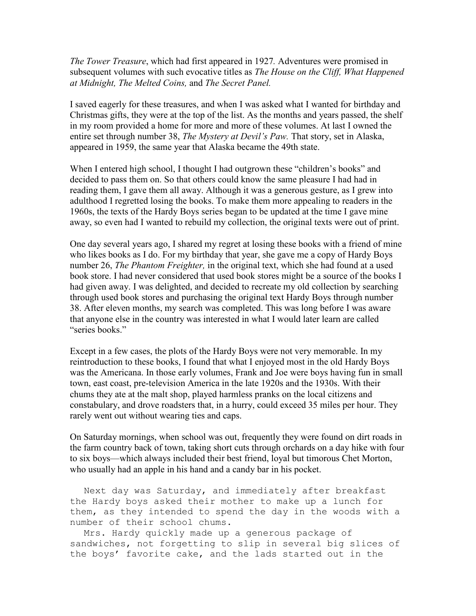The Tower Treasure, which had first appeared in 1927. Adventures were promised in subsequent volumes with such evocative titles as *The House on the Cliff*, *What Happened* at Midnight, The Melted Coins, and The Secret Panel.

I saved eagerly for these treasures, and when I was asked what I wanted for birthday and Christmas gifts, they were at the top of the list. As the months and years passed, the shelf in my room provided a home for more and more of these volumes. At last I owned the entire set through number 38, The Mystery at Devil's Paw. That story, set in Alaska, appeared in 1959, the same year that Alaska became the 49th state.

When I entered high school, I thought I had outgrown these "children's books" and decided to pass them on. So that others could know the same pleasure I had had in reading them, I gave them all away. Although it was a generous gesture, as I grew into adulthood I regretted losing the books. To make them more appealing to readers in the 1960s, the texts of the Hardy Boys series began to be updated at the time I gave mine away, so even had I wanted to rebuild my collection, the original texts were out of print.

One day several years ago, I shared my regret at losing these books with a friend of mine who likes books as I do. For my birthday that year, she gave me a copy of Hardy Boys number 26, The Phantom Freighter, in the original text, which she had found at a used book store. I had never considered that used book stores might be a source of the books I had given away. I was delighted, and decided to recreate my old collection by searching through used book stores and purchasing the original text Hardy Boys through number 38. After eleven months, my search was completed. This was long before I was aware that anyone else in the country was interested in what I would later learn are called "series books."

Except in a few cases, the plots of the Hardy Boys were not very memorable. In my reintroduction to these books, I found that what I enjoyed most in the old Hardy Boys was the Americana. In those early volumes, Frank and Joe were boys having fun in small town, east coast, pre-television America in the late 1920s and the 1930s. With their chums they ate at the malt shop, played harmless pranks on the local citizens and constabulary, and drove roadsters that, in a hurry, could exceed 35 miles per hour. They rarely went out without wearing ties and caps.

On Saturday mornings, when school was out, frequently they were found on dirt roads in the farm country back of town, taking short cuts through orchards on a day hike with four to six boys—which always included their best friend, loyal but timorous Chet Morton, who usually had an apple in his hand and a candy bar in his pocket.

 Next day was Saturday, and immediately after breakfast the Hardy boys asked their mother to make up a lunch for them, as they intended to spend the day in the woods with a number of their school chums.

 Mrs. Hardy quickly made up a generous package of sandwiches, not forgetting to slip in several big slices of the boys' favorite cake, and the lads started out in the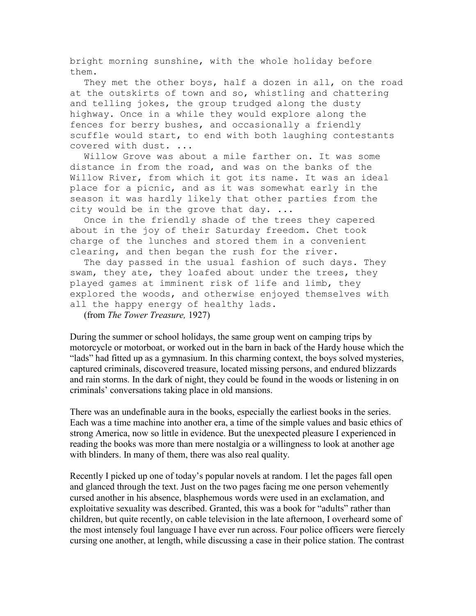bright morning sunshine, with the whole holiday before them.

They met the other boys, half a dozen in all, on the road at the outskirts of town and so, whistling and chattering and telling jokes, the group trudged along the dusty highway. Once in a while they would explore along the fences for berry bushes, and occasionally a friendly scuffle would start, to end with both laughing contestants covered with dust. ...

 Willow Grove was about a mile farther on. It was some distance in from the road, and was on the banks of the Willow River, from which it got its name. It was an ideal place for a picnic, and as it was somewhat early in the season it was hardly likely that other parties from the city would be in the grove that day. ...

 Once in the friendly shade of the trees they capered about in the joy of their Saturday freedom. Chet took charge of the lunches and stored them in a convenient clearing, and then began the rush for the river.

 The day passed in the usual fashion of such days. They swam, they ate, they loafed about under the trees, they played games at imminent risk of life and limb, they explored the woods, and otherwise enjoyed themselves with all the happy energy of healthy lads.

(from The Tower Treasure, 1927)

During the summer or school holidays, the same group went on camping trips by motorcycle or motorboat, or worked out in the barn in back of the Hardy house which the "lads" had fitted up as a gymnasium. In this charming context, the boys solved mysteries, captured criminals, discovered treasure, located missing persons, and endured blizzards and rain storms. In the dark of night, they could be found in the woods or listening in on criminals' conversations taking place in old mansions.

There was an undefinable aura in the books, especially the earliest books in the series. Each was a time machine into another era, a time of the simple values and basic ethics of strong America, now so little in evidence. But the unexpected pleasure I experienced in reading the books was more than mere nostalgia or a willingness to look at another age with blinders. In many of them, there was also real quality.

Recently I picked up one of today's popular novels at random. I let the pages fall open and glanced through the text. Just on the two pages facing me one person vehemently cursed another in his absence, blasphemous words were used in an exclamation, and exploitative sexuality was described. Granted, this was a book for "adults" rather than children, but quite recently, on cable television in the late afternoon, I overheard some of the most intensely foul language I have ever run across. Four police officers were fiercely cursing one another, at length, while discussing a case in their police station. The contrast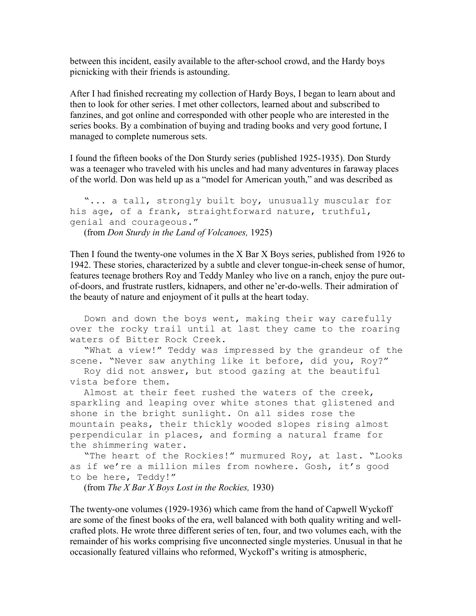between this incident, easily available to the after-school crowd, and the Hardy boys picnicking with their friends is astounding.

After I had finished recreating my collection of Hardy Boys, I began to learn about and then to look for other series. I met other collectors, learned about and subscribed to fanzines, and got online and corresponded with other people who are interested in the series books. By a combination of buying and trading books and very good fortune, I managed to complete numerous sets.

I found the fifteen books of the Don Sturdy series (published 1925-1935). Don Sturdy was a teenager who traveled with his uncles and had many adventures in faraway places of the world. Don was held up as a "model for American youth," and was described as

```
 "... a tall, strongly built boy, unusually muscular for 
his age, of a frank, straightforward nature, truthful, 
genial and courageous."
```
(from Don Sturdy in the Land of Volcanoes, 1925)

Then I found the twenty-one volumes in the X Bar X Boys series, published from 1926 to 1942. These stories, characterized by a subtle and clever tongue-in-cheek sense of humor, features teenage brothers Roy and Teddy Manley who live on a ranch, enjoy the pure outof-doors, and frustrate rustlers, kidnapers, and other ne'er-do-wells. Their admiration of the beauty of nature and enjoyment of it pulls at the heart today.

 Down and down the boys went, making their way carefully over the rocky trail until at last they came to the roaring waters of Bitter Rock Creek.

 "What a view!" Teddy was impressed by the grandeur of the scene. "Never saw anything like it before, did you, Roy?"

 Roy did not answer, but stood gazing at the beautiful vista before them.

 Almost at their feet rushed the waters of the creek, sparkling and leaping over white stones that glistened and shone in the bright sunlight. On all sides rose the mountain peaks, their thickly wooded slopes rising almost perpendicular in places, and forming a natural frame for the shimmering water.

```
 "The heart of the Rockies!" murmured Roy, at last. "Looks 
as if we're a million miles from nowhere. Gosh, it's good 
to be here, Teddy!"
```
(from The X Bar X Boys Lost in the Rockies, 1930)

The twenty-one volumes (1929-1936) which came from the hand of Capwell Wyckoff are some of the finest books of the era, well balanced with both quality writing and wellcrafted plots. He wrote three different series of ten, four, and two volumes each, with the remainder of his works comprising five unconnected single mysteries. Unusual in that he occasionally featured villains who reformed, Wyckoff's writing is atmospheric,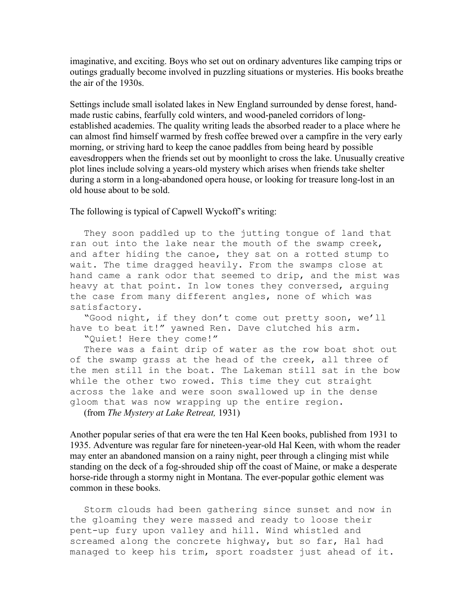imaginative, and exciting. Boys who set out on ordinary adventures like camping trips or outings gradually become involved in puzzling situations or mysteries. His books breathe the air of the 1930s.

Settings include small isolated lakes in New England surrounded by dense forest, handmade rustic cabins, fearfully cold winters, and wood-paneled corridors of longestablished academies. The quality writing leads the absorbed reader to a place where he can almost find himself warmed by fresh coffee brewed over a campfire in the very early morning, or striving hard to keep the canoe paddles from being heard by possible eavesdroppers when the friends set out by moonlight to cross the lake. Unusually creative plot lines include solving a years-old mystery which arises when friends take shelter during a storm in a long-abandoned opera house, or looking for treasure long-lost in an old house about to be sold.

The following is typical of Capwell Wyckoff's writing:

 They soon paddled up to the jutting tongue of land that ran out into the lake near the mouth of the swamp creek, and after hiding the canoe, they sat on a rotted stump to wait. The time dragged heavily. From the swamps close at hand came a rank odor that seemed to drip, and the mist was heavy at that point. In low tones they conversed, arguing the case from many different angles, none of which was satisfactory.

 "Good night, if they don't come out pretty soon, we'll have to beat it!" yawned Ren. Dave clutched his arm.

"Quiet! Here they come!"

 There was a faint drip of water as the row boat shot out of the swamp grass at the head of the creek, all three of the men still in the boat. The Lakeman still sat in the bow while the other two rowed. This time they cut straight across the lake and were soon swallowed up in the dense gloom that was now wrapping up the entire region.

(from The Mystery at Lake Retreat, 1931)

Another popular series of that era were the ten Hal Keen books, published from 1931 to 1935. Adventure was regular fare for nineteen-year-old Hal Keen, with whom the reader may enter an abandoned mansion on a rainy night, peer through a clinging mist while standing on the deck of a fog-shrouded ship off the coast of Maine, or make a desperate horse-ride through a stormy night in Montana. The ever-popular gothic element was common in these books.

 Storm clouds had been gathering since sunset and now in the gloaming they were massed and ready to loose their pent-up fury upon valley and hill. Wind whistled and screamed along the concrete highway, but so far, Hal had managed to keep his trim, sport roadster just ahead of it.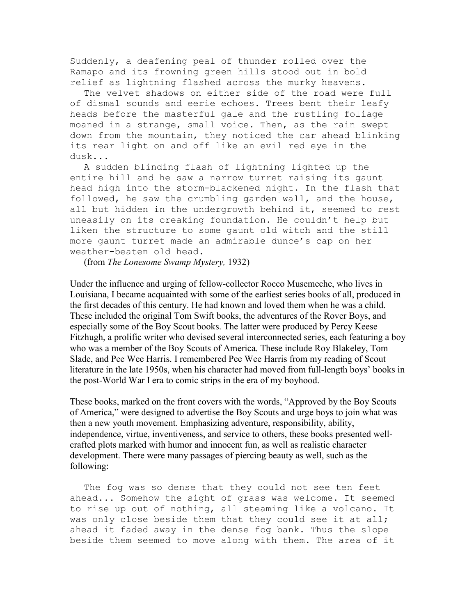Suddenly, a deafening peal of thunder rolled over the Ramapo and its frowning green hills stood out in bold relief as lightning flashed across the murky heavens.

 The velvet shadows on either side of the road were full of dismal sounds and eerie echoes. Trees bent their leafy heads before the masterful gale and the rustling foliage moaned in a strange, small voice. Then, as the rain swept down from the mountain, they noticed the car ahead blinking its rear light on and off like an evil red eye in the dusk...

 A sudden blinding flash of lightning lighted up the entire hill and he saw a narrow turret raising its gaunt head high into the storm-blackened night. In the flash that followed, he saw the crumbling garden wall, and the house, all but hidden in the undergrowth behind it, seemed to rest uneasily on its creaking foundation. He couldn't help but liken the structure to some gaunt old witch and the still more gaunt turret made an admirable dunce's cap on her weather-beaten old head.

(from The Lonesome Swamp Mystery, 1932)

Under the influence and urging of fellow-collector Rocco Musemeche, who lives in Louisiana, I became acquainted with some of the earliest series books of all, produced in the first decades of this century. He had known and loved them when he was a child. These included the original Tom Swift books, the adventures of the Rover Boys, and especially some of the Boy Scout books. The latter were produced by Percy Keese Fitzhugh, a prolific writer who devised several interconnected series, each featuring a boy who was a member of the Boy Scouts of America. These include Roy Blakeley, Tom Slade, and Pee Wee Harris. I remembered Pee Wee Harris from my reading of Scout literature in the late 1950s, when his character had moved from full-length boys' books in the post-World War I era to comic strips in the era of my boyhood.

These books, marked on the front covers with the words, "Approved by the Boy Scouts of America," were designed to advertise the Boy Scouts and urge boys to join what was then a new youth movement. Emphasizing adventure, responsibility, ability, independence, virtue, inventiveness, and service to others, these books presented wellcrafted plots marked with humor and innocent fun, as well as realistic character development. There were many passages of piercing beauty as well, such as the following:

 The fog was so dense that they could not see ten feet ahead... Somehow the sight of grass was welcome. It seemed to rise up out of nothing, all steaming like a volcano. It was only close beside them that they could see it at all; ahead it faded away in the dense fog bank. Thus the slope beside them seemed to move along with them. The area of it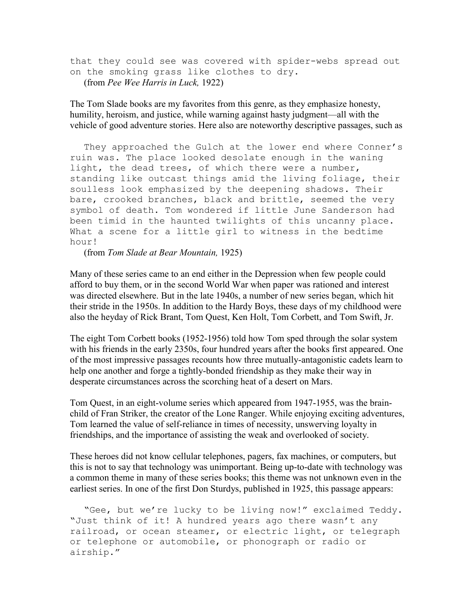that they could see was covered with spider-webs spread out on the smoking grass like clothes to dry. (from Pee Wee Harris in Luck, 1922)

The Tom Slade books are my favorites from this genre, as they emphasize honesty, humility, heroism, and justice, while warning against hasty judgment—all with the vehicle of good adventure stories. Here also are noteworthy descriptive passages, such as

 They approached the Gulch at the lower end where Conner's ruin was. The place looked desolate enough in the waning light, the dead trees, of which there were a number, standing like outcast things amid the living foliage, their soulless look emphasized by the deepening shadows. Their bare, crooked branches, black and brittle, seemed the very symbol of death. Tom wondered if little June Sanderson had been timid in the haunted twilights of this uncanny place. What a scene for a little girl to witness in the bedtime hour!

(from Tom Slade at Bear Mountain, 1925)

Many of these series came to an end either in the Depression when few people could afford to buy them, or in the second World War when paper was rationed and interest was directed elsewhere. But in the late 1940s, a number of new series began, which hit their stride in the 1950s. In addition to the Hardy Boys, these days of my childhood were also the heyday of Rick Brant, Tom Quest, Ken Holt, Tom Corbett, and Tom Swift, Jr.

The eight Tom Corbett books (1952-1956) told how Tom sped through the solar system with his friends in the early 2350s, four hundred years after the books first appeared. One of the most impressive passages recounts how three mutually-antagonistic cadets learn to help one another and forge a tightly-bonded friendship as they make their way in desperate circumstances across the scorching heat of a desert on Mars.

Tom Quest, in an eight-volume series which appeared from 1947-1955, was the brainchild of Fran Striker, the creator of the Lone Ranger. While enjoying exciting adventures, Tom learned the value of self-reliance in times of necessity, unswerving loyalty in friendships, and the importance of assisting the weak and overlooked of society.

These heroes did not know cellular telephones, pagers, fax machines, or computers, but this is not to say that technology was unimportant. Being up-to-date with technology was a common theme in many of these series books; this theme was not unknown even in the earliest series. In one of the first Don Sturdys, published in 1925, this passage appears:

 "Gee, but we're lucky to be living now!" exclaimed Teddy. "Just think of it! A hundred years ago there wasn't any railroad, or ocean steamer, or electric light, or telegraph or telephone or automobile, or phonograph or radio or airship."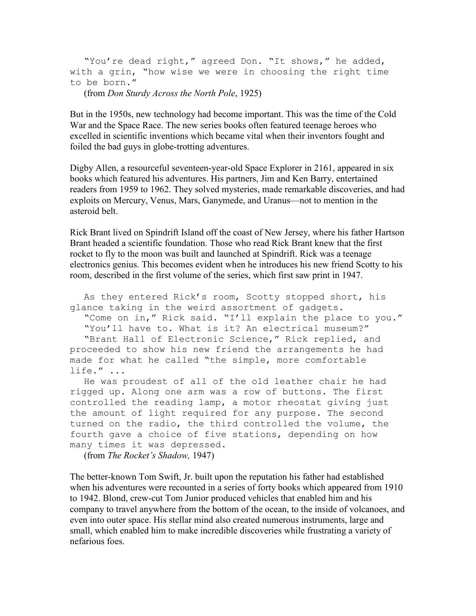```
 "You're dead right," agreed Don. "It shows," he added, 
with a grin, "how wise we were in choosing the right time 
to be born."
```
(from Don Sturdy Across the North Pole, 1925)

But in the 1950s, new technology had become important. This was the time of the Cold War and the Space Race. The new series books often featured teenage heroes who excelled in scientific inventions which became vital when their inventors fought and foiled the bad guys in globe-trotting adventures.

Digby Allen, a resourceful seventeen-year-old Space Explorer in 2161, appeared in six books which featured his adventures. His partners, Jim and Ken Barry, entertained readers from 1959 to 1962. They solved mysteries, made remarkable discoveries, and had exploits on Mercury, Venus, Mars, Ganymede, and Uranus—not to mention in the asteroid belt.

Rick Brant lived on Spindrift Island off the coast of New Jersey, where his father Hartson Brant headed a scientific foundation. Those who read Rick Brant knew that the first rocket to fly to the moon was built and launched at Spindrift. Rick was a teenage electronics genius. This becomes evident when he introduces his new friend Scotty to his room, described in the first volume of the series, which first saw print in 1947.

 As they entered Rick's room, Scotty stopped short, his glance taking in the weird assortment of gadgets. "Come on in," Rick said. "I'll explain the place to you." "You'll have to. What is it? An electrical museum?" "Brant Hall of Electronic Science," Rick replied, and proceeded to show his new friend the arrangements he had made for what he called "the simple, more comfortable life." ...

 He was proudest of all of the old leather chair he had rigged up. Along one arm was a row of buttons. The first controlled the reading lamp, a motor rheostat giving just the amount of light required for any purpose. The second turned on the radio, the third controlled the volume, the fourth gave a choice of five stations, depending on how many times it was depressed.

(from The Rocket's Shadow, 1947)

The better-known Tom Swift, Jr. built upon the reputation his father had established when his adventures were recounted in a series of forty books which appeared from 1910 to 1942. Blond, crew-cut Tom Junior produced vehicles that enabled him and his company to travel anywhere from the bottom of the ocean, to the inside of volcanoes, and even into outer space. His stellar mind also created numerous instruments, large and small, which enabled him to make incredible discoveries while frustrating a variety of nefarious foes.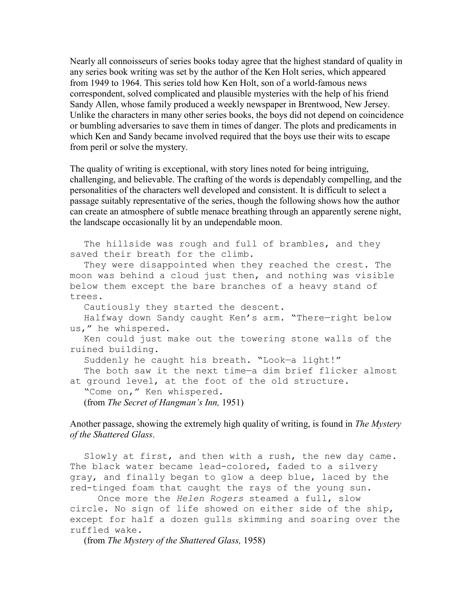Nearly all connoisseurs of series books today agree that the highest standard of quality in any series book writing was set by the author of the Ken Holt series, which appeared from 1949 to 1964. This series told how Ken Holt, son of a world-famous news correspondent, solved complicated and plausible mysteries with the help of his friend Sandy Allen, whose family produced a weekly newspaper in Brentwood, New Jersey. Unlike the characters in many other series books, the boys did not depend on coincidence or bumbling adversaries to save them in times of danger. The plots and predicaments in which Ken and Sandy became involved required that the boys use their wits to escape from peril or solve the mystery.

The quality of writing is exceptional, with story lines noted for being intriguing, challenging, and believable. The crafting of the words is dependably compelling, and the personalities of the characters well developed and consistent. It is difficult to select a passage suitably representative of the series, though the following shows how the author can create an atmosphere of subtle menace breathing through an apparently serene night, the landscape occasionally lit by an undependable moon.

The hillside was rough and full of brambles, and they saved their breath for the climb.

 They were disappointed when they reached the crest. The moon was behind a cloud just then, and nothing was visible below them except the bare branches of a heavy stand of trees.

Cautiously they started the descent.

 Halfway down Sandy caught Ken's arm. "There—right below us," he whispered.

 Ken could just make out the towering stone walls of the ruined building.

Suddenly he caught his breath. "Look—a light!"

 The both saw it the next time—a dim brief flicker almost at ground level, at the foot of the old structure.

"Come on," Ken whispered.

(from The Secret of Hangman's Inn, 1951)

Another passage, showing the extremely high quality of writing, is found in The Mystery of the Shattered Glass.

 Slowly at first, and then with a rush, the new day came. The black water became lead-colored, faded to a silvery gray, and finally began to glow a deep blue, laced by the red-tinged foam that caught the rays of the young sun.

Once more the Helen Rogers steamed a full, slow circle. No sign of life showed on either side of the ship, except for half a dozen gulls skimming and soaring over the ruffled wake.

(from The Mystery of the Shattered Glass, 1958)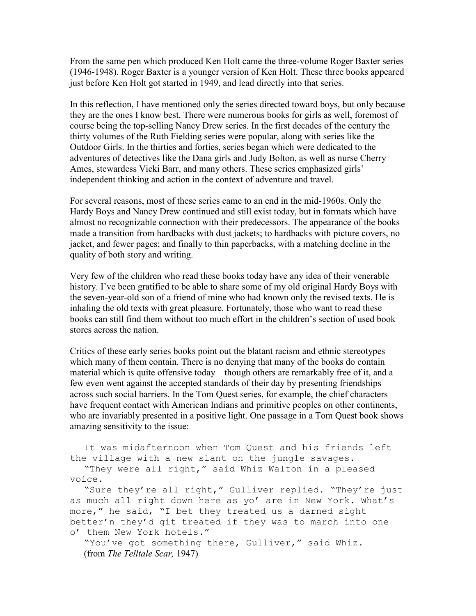From the same pen which produced Ken Holt came the three-volume Roger Baxter series (1946-1948). Roger Baxter is a younger version of Ken Holt. These three books appeared just before Ken Holt got started in 1949, and lead directly into that series.

In this reflection, I have mentioned only the series directed toward boys, but only because they are the ones I know best. There were numerous books for girls as well, foremost of course being the top-selling Nancy Drew series. In the first decades of the century the thirty volumes of the Ruth Fielding series were popular, along with series like the Outdoor Girls. In the thirties and forties, series began which were dedicated to the adventures of detectives like the Dana girls and Judy Bolton, as well as nurse Cherry Ames, stewardess Vicki Barr, and many others. These series emphasized girls' independent thinking and action in the context of adventure and travel.

For several reasons, most of these series came to an end in the mid-1960s. Only the Hardy Boys and Nancy Drew continued and still exist today, but in formats which have almost no recognizable connection with their predecessors. The appearance of the books made a transition from hardbacks with dust jackets; to hardbacks with picture covers, no jacket, and fewer pages; and finally to thin paperbacks, with a matching decline in the quality of both story and writing.

Very few of the children who read these books today have any idea of their venerable history. I've been gratified to be able to share some of my old original Hardy Boys with the seven-year-old son of a friend of mine who had known only the revised texts. He is inhaling the old texts with great pleasure. Fortunately, those who want to read these books can still find them without too much effort in the children's section of used book stores across the nation.

Critics of these early series books point out the blatant racism and ethnic stereotypes which many of them contain. There is no denying that many of the books do contain material which is quite offensive today—though others are remarkably free of it, and a few even went against the accepted standards of their day by presenting friendships across such social barriers. In the Tom Quest series, for example, the chief characters have frequent contact with American Indians and primitive peoples on other continents, who are invariably presented in a positive light. One passage in a Tom Quest book shows amazing sensitivity to the issue:

```
 It was midafternoon when Tom Quest and his friends left 
the village with a new slant on the jungle savages.
```
 "They were all right," said Whiz Walton in a pleased voice.

 "Sure they're all right," Gulliver replied. "They're just as much all right down here as yo' are in New York. What's more," he said, "I bet they treated us a darned sight better'n they'd git treated if they was to march into one o' them New York hotels."

```
 "You've got something there, Gulliver," said Whiz.
 (from The Telltale Scar, 1947)
```